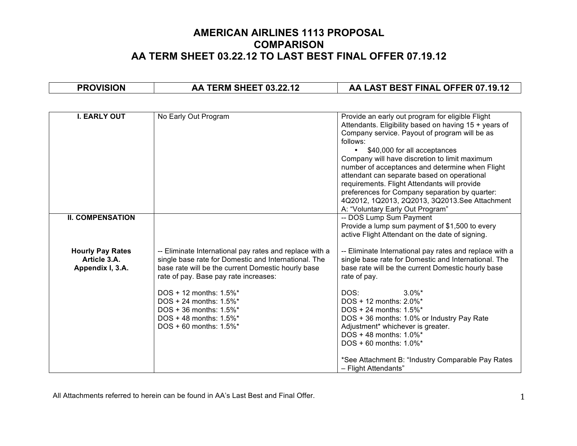| <b>PROVISION</b>                                            | AA TERM SHEET 03.22.12                                                                                                                                                                                                                                                                                                                                            | AA LAST BEST FINAL OFFER 07.19.12                                                                                                                                                                                                                                                                                                                                                                                                                                                                                                                   |
|-------------------------------------------------------------|-------------------------------------------------------------------------------------------------------------------------------------------------------------------------------------------------------------------------------------------------------------------------------------------------------------------------------------------------------------------|-----------------------------------------------------------------------------------------------------------------------------------------------------------------------------------------------------------------------------------------------------------------------------------------------------------------------------------------------------------------------------------------------------------------------------------------------------------------------------------------------------------------------------------------------------|
|                                                             |                                                                                                                                                                                                                                                                                                                                                                   |                                                                                                                                                                                                                                                                                                                                                                                                                                                                                                                                                     |
| <b>I. EARLY OUT</b>                                         | No Early Out Program                                                                                                                                                                                                                                                                                                                                              | Provide an early out program for eligible Flight<br>Attendants. Eligibility based on having 15 + years of<br>Company service. Payout of program will be as<br>follows:<br>• \$40,000 for all acceptances<br>Company will have discretion to limit maximum<br>number of acceptances and determine when Flight<br>attendant can separate based on operational<br>requirements. Flight Attendants will provide<br>preferences for Company separation by quarter:<br>4Q2012, 1Q2013, 2Q2013, 3Q2013. See Attachment<br>A: "Voluntary Early Out Program" |
| <b>II. COMPENSATION</b>                                     |                                                                                                                                                                                                                                                                                                                                                                   | -- DOS Lump Sum Payment<br>Provide a lump sum payment of \$1,500 to every<br>active Flight Attendant on the date of signing.                                                                                                                                                                                                                                                                                                                                                                                                                        |
| <b>Hourly Pay Rates</b><br>Article 3.A.<br>Appendix I, 3.A. | -- Eliminate International pay rates and replace with a<br>single base rate for Domestic and International. The<br>base rate will be the current Domestic hourly base<br>rate of pay. Base pay rate increases:<br>DOS + 12 months: 1.5%*<br>DOS + 24 months: 1.5%*<br>DOS + 36 months: $1.5\%$ <sup>*</sup><br>$DOS + 48$ months: 1.5%*<br>DOS + 60 months: 1.5%* | -- Eliminate International pay rates and replace with a<br>single base rate for Domestic and International. The<br>base rate will be the current Domestic hourly base<br>rate of pay.<br>DOS:<br>$3.0\%$ *<br>DOS + 12 months: 2.0%*<br>DOS + 24 months: 1.5%*<br>DOS + 36 months: 1.0% or Industry Pay Rate<br>Adjustment* whichever is greater.<br>DOS + 48 months: 1.0%*<br>$DOS + 60$ months: 1.0%*<br>*See Attachment B: "Industry Comparable Pay Rates                                                                                        |
|                                                             |                                                                                                                                                                                                                                                                                                                                                                   | - Flight Attendants"                                                                                                                                                                                                                                                                                                                                                                                                                                                                                                                                |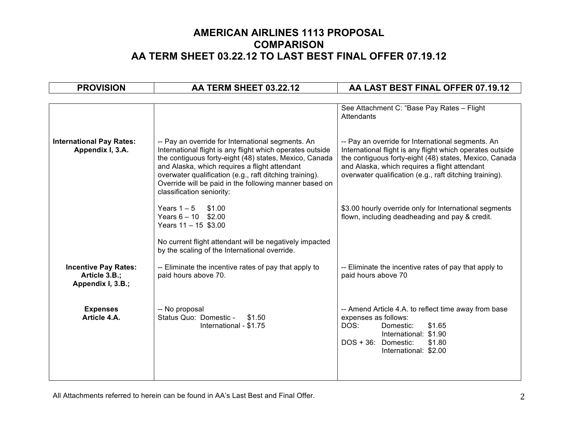| <b>PROVISION</b>                                                  | AA TERM SHEET 03.22.12                                                                                                                                                                                                                                                                                                                                                      | AA LAST BEST FINAL OFFER 07.19.12                                                                                                                                                                                                                                                    |
|-------------------------------------------------------------------|-----------------------------------------------------------------------------------------------------------------------------------------------------------------------------------------------------------------------------------------------------------------------------------------------------------------------------------------------------------------------------|--------------------------------------------------------------------------------------------------------------------------------------------------------------------------------------------------------------------------------------------------------------------------------------|
|                                                                   |                                                                                                                                                                                                                                                                                                                                                                             |                                                                                                                                                                                                                                                                                      |
|                                                                   |                                                                                                                                                                                                                                                                                                                                                                             | See Attachment C: "Base Pay Rates - Flight<br>Attendants                                                                                                                                                                                                                             |
| <b>International Pay Rates:</b><br>Appendix I, 3.A.               | -- Pay an override for International segments. An<br>International flight is any flight which operates outside<br>the contiguous forty-eight (48) states, Mexico, Canada<br>and Alaska, which requires a flight attendant<br>overwater qualification (e.g., raft ditching training).<br>Override will be paid in the following manner based on<br>classification seniority: | -- Pay an override for International segments. An<br>International flight is any flight which operates outside<br>the contiguous forty-eight (48) states, Mexico, Canada<br>and Alaska, which requires a flight attendant<br>overwater qualification (e.g., raft ditching training). |
|                                                                   | Years $1 - 5$ \$1.00<br>Years $6 - 10$ \$2.00<br>Years $11 - 15$ \$3.00<br>No current flight attendant will be negatively impacted<br>by the scaling of the International override.                                                                                                                                                                                         | \$3.00 hourly override only for International segments<br>flown, including deadheading and pay & credit.                                                                                                                                                                             |
| <b>Incentive Pay Rates:</b><br>Article 3.B.;<br>Appendix I, 3.B.; | -- Eliminate the incentive rates of pay that apply to<br>paid hours above 70.                                                                                                                                                                                                                                                                                               | -- Eliminate the incentive rates of pay that apply to<br>paid hours above 70                                                                                                                                                                                                         |
| <b>Expenses</b><br>Article 4.A.                                   | -- No proposal<br>Status Quo: Domestic -<br>\$1.50<br>International - \$1.75                                                                                                                                                                                                                                                                                                | -- Amend Article 4.A. to reflect time away from base<br>expenses as follows:<br>DOS:<br>Domestic:<br>\$1.65<br>International: \$1.90<br>DOS + 36: Domestic:<br>\$1.80<br>International: \$2.00                                                                                       |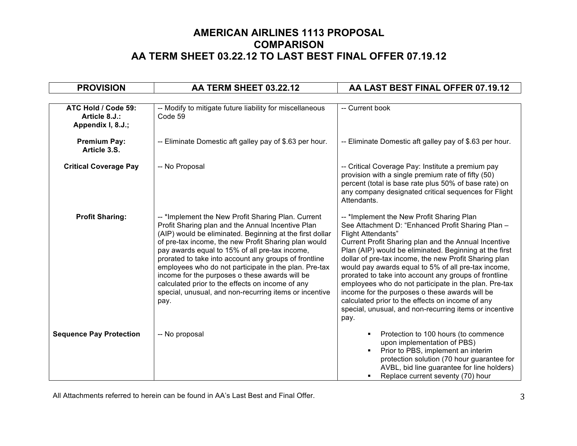| <b>PROVISION</b>                                          | AA TERM SHEET 03.22.12                                                                                                                                                                                                                                                                                                                                                                                                                                                                                                                                                  | AA LAST BEST FINAL OFFER 07.19.12                                                                                                                                                                                                                                                                                                                                                                                                                                                                                                                                                                                                                       |  |
|-----------------------------------------------------------|-------------------------------------------------------------------------------------------------------------------------------------------------------------------------------------------------------------------------------------------------------------------------------------------------------------------------------------------------------------------------------------------------------------------------------------------------------------------------------------------------------------------------------------------------------------------------|---------------------------------------------------------------------------------------------------------------------------------------------------------------------------------------------------------------------------------------------------------------------------------------------------------------------------------------------------------------------------------------------------------------------------------------------------------------------------------------------------------------------------------------------------------------------------------------------------------------------------------------------------------|--|
|                                                           |                                                                                                                                                                                                                                                                                                                                                                                                                                                                                                                                                                         |                                                                                                                                                                                                                                                                                                                                                                                                                                                                                                                                                                                                                                                         |  |
| ATC Hold / Code 59:<br>Article 8.J.:<br>Appendix I, 8.J.; | -- Modify to mitigate future liability for miscellaneous<br>Code 59                                                                                                                                                                                                                                                                                                                                                                                                                                                                                                     | -- Current book                                                                                                                                                                                                                                                                                                                                                                                                                                                                                                                                                                                                                                         |  |
| <b>Premium Pay:</b><br>Article 3.S.                       | -- Eliminate Domestic aft galley pay of \$.63 per hour.                                                                                                                                                                                                                                                                                                                                                                                                                                                                                                                 | -- Eliminate Domestic aft galley pay of \$.63 per hour.                                                                                                                                                                                                                                                                                                                                                                                                                                                                                                                                                                                                 |  |
| <b>Critical Coverage Pay</b>                              | -- No Proposal                                                                                                                                                                                                                                                                                                                                                                                                                                                                                                                                                          | -- Critical Coverage Pay: Institute a premium pay<br>provision with a single premium rate of fifty (50)<br>percent (total is base rate plus 50% of base rate) on<br>any company designated critical sequences for Flight<br>Attendants.                                                                                                                                                                                                                                                                                                                                                                                                                 |  |
| <b>Profit Sharing:</b>                                    | -- *Implement the New Profit Sharing Plan. Current<br>Profit Sharing plan and the Annual Incentive Plan<br>(AIP) would be eliminated. Beginning at the first dollar<br>of pre-tax income, the new Profit Sharing plan would<br>pay awards equal to 15% of all pre-tax income,<br>prorated to take into account any groups of frontline<br>employees who do not participate in the plan. Pre-tax<br>income for the purposes o these awards will be<br>calculated prior to the effects on income of any<br>special, unusual, and non-recurring items or incentive<br>pay. | -- *Implement the New Profit Sharing Plan<br>See Attachment D: "Enhanced Profit Sharing Plan -<br><b>Flight Attendants"</b><br>Current Profit Sharing plan and the Annual Incentive<br>Plan (AIP) would be eliminated. Beginning at the first<br>dollar of pre-tax income, the new Profit Sharing plan<br>would pay awards equal to 5% of all pre-tax income,<br>prorated to take into account any groups of frontline<br>employees who do not participate in the plan. Pre-tax<br>income for the purposes o these awards will be<br>calculated prior to the effects on income of any<br>special, unusual, and non-recurring items or incentive<br>pay. |  |
| <b>Sequence Pay Protection</b>                            | -- No proposal                                                                                                                                                                                                                                                                                                                                                                                                                                                                                                                                                          | Protection to 100 hours (to commence<br>$\blacksquare$<br>upon implementation of PBS)<br>Prior to PBS, implement an interim<br>$\blacksquare$<br>protection solution (70 hour guarantee for<br>AVBL, bid line guarantee for line holders)<br>Replace current seventy (70) hour<br>٠                                                                                                                                                                                                                                                                                                                                                                     |  |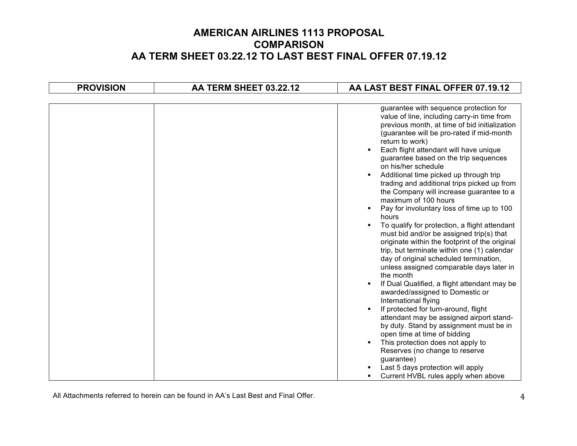| <b>PROVISION</b> | AA TERM SHEET 03.22.12 | AA LAST BEST FINAL OFFER 07.19.12                                                                                                                                                                                                                                                                                                                                                                                                                                                                                                                                                                                                                                                                                                                                                                                                                                                                                                                                                                                                                                                                                                                                                                                                                   |
|------------------|------------------------|-----------------------------------------------------------------------------------------------------------------------------------------------------------------------------------------------------------------------------------------------------------------------------------------------------------------------------------------------------------------------------------------------------------------------------------------------------------------------------------------------------------------------------------------------------------------------------------------------------------------------------------------------------------------------------------------------------------------------------------------------------------------------------------------------------------------------------------------------------------------------------------------------------------------------------------------------------------------------------------------------------------------------------------------------------------------------------------------------------------------------------------------------------------------------------------------------------------------------------------------------------|
|                  |                        |                                                                                                                                                                                                                                                                                                                                                                                                                                                                                                                                                                                                                                                                                                                                                                                                                                                                                                                                                                                                                                                                                                                                                                                                                                                     |
|                  |                        | guarantee with sequence protection for<br>value of line, including carry-in time from<br>previous month, at time of bid initialization<br>(guarantee will be pro-rated if mid-month<br>return to work)<br>Each flight attendant will have unique<br>guarantee based on the trip sequences<br>on his/her schedule<br>Additional time picked up through trip<br>trading and additional trips picked up from<br>the Company will increase guarantee to a<br>maximum of 100 hours<br>Pay for involuntary loss of time up to 100<br>٠<br>hours<br>To qualify for protection, a flight attendant<br>must bid and/or be assigned trip(s) that<br>originate within the footprint of the original<br>trip, but terminate within one (1) calendar<br>day of original scheduled termination,<br>unless assigned comparable days later in<br>the month<br>If Dual Qualified, a flight attendant may be<br>٠<br>awarded/assigned to Domestic or<br>International flying<br>If protected for turn-around, flight<br>attendant may be assigned airport stand-<br>by duty. Stand by assignment must be in<br>open time at time of bidding<br>This protection does not apply to<br>Reserves (no change to reserve<br>guarantee)<br>Last 5 days protection will apply |
|                  |                        | Current HVBL rules apply when above<br>٠                                                                                                                                                                                                                                                                                                                                                                                                                                                                                                                                                                                                                                                                                                                                                                                                                                                                                                                                                                                                                                                                                                                                                                                                            |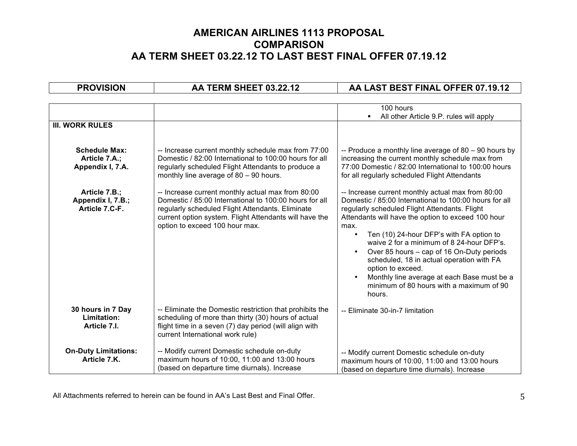| <b>PROVISION</b>                                          | AA TERM SHEET 03.22.12                                                                                                                                                                                                                                      | AA LAST BEST FINAL OFFER 07.19.12                                                                                                                                                                                                                                                                                                                                                                                                                                                                                                                                              |
|-----------------------------------------------------------|-------------------------------------------------------------------------------------------------------------------------------------------------------------------------------------------------------------------------------------------------------------|--------------------------------------------------------------------------------------------------------------------------------------------------------------------------------------------------------------------------------------------------------------------------------------------------------------------------------------------------------------------------------------------------------------------------------------------------------------------------------------------------------------------------------------------------------------------------------|
|                                                           |                                                                                                                                                                                                                                                             |                                                                                                                                                                                                                                                                                                                                                                                                                                                                                                                                                                                |
|                                                           |                                                                                                                                                                                                                                                             | 100 hours<br>All other Article 9.P. rules will apply<br>$\blacksquare$                                                                                                                                                                                                                                                                                                                                                                                                                                                                                                         |
| <b>III. WORK RULES</b>                                    |                                                                                                                                                                                                                                                             |                                                                                                                                                                                                                                                                                                                                                                                                                                                                                                                                                                                |
| <b>Schedule Max:</b><br>Article 7.A.;<br>Appendix I, 7.A. | -- Increase current monthly schedule max from 77:00<br>Domestic / 82:00 International to 100:00 hours for all<br>regularly scheduled Flight Attendants to produce a<br>monthly line average of $80 - 90$ hours.                                             | -- Produce a monthly line average of $80 - 90$ hours by<br>increasing the current monthly schedule max from<br>77:00 Domestic / 82:00 International to 100:00 hours<br>for all regularly scheduled Flight Attendants                                                                                                                                                                                                                                                                                                                                                           |
| Article 7.B.;<br>Appendix I, 7.B.;<br>Article 7.C-F.      | -- Increase current monthly actual max from 80:00<br>Domestic / 85:00 International to 100:00 hours for all<br>regularly scheduled Flight Attendants. Eliminate<br>current option system. Flight Attendants will have the<br>option to exceed 100 hour max. | -- Increase current monthly actual max from 80:00<br>Domestic / 85:00 International to 100:00 hours for all<br>regularly scheduled Flight Attendants. Flight<br>Attendants will have the option to exceed 100 hour<br>max.<br>Ten (10) 24-hour DFP's with FA option to<br>$\bullet$<br>waive 2 for a minimum of 8 24-hour DFP's.<br>Over 85 hours – cap of 16 On-Duty periods<br>$\bullet$<br>scheduled, 18 in actual operation with FA<br>option to exceed.<br>Monthly line average at each Base must be a<br>$\bullet$<br>minimum of 80 hours with a maximum of 90<br>hours. |
| 30 hours in 7 Day<br>Limitation:<br>Article 7.I.          | -- Eliminate the Domestic restriction that prohibits the<br>scheduling of more than thirty (30) hours of actual<br>flight time in a seven (7) day period (will align with<br>current International work rule)                                               | -- Eliminate 30-in-7 limitation                                                                                                                                                                                                                                                                                                                                                                                                                                                                                                                                                |
| <b>On-Duty Limitations:</b><br>Article 7.K.               | -- Modify current Domestic schedule on-duty<br>maximum hours of 10:00, 11:00 and 13:00 hours<br>(based on departure time diurnals). Increase                                                                                                                | -- Modify current Domestic schedule on-duty<br>maximum hours of 10:00, 11:00 and 13:00 hours<br>(based on departure time diurnals). Increase                                                                                                                                                                                                                                                                                                                                                                                                                                   |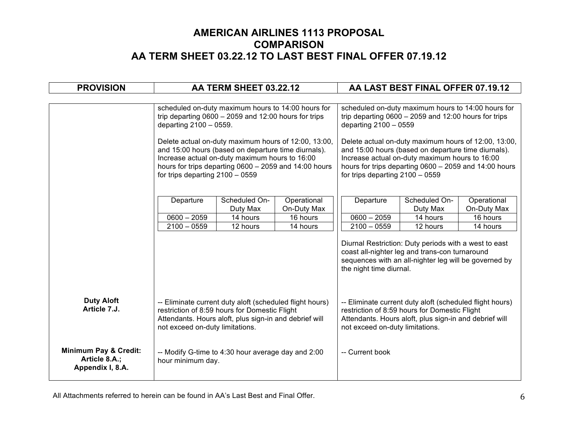| <b>PROVISION</b>                                                      | AA TERM SHEET 03.22.12                                                                                                                                                                                                                                |          |                                                                                                                                                                                                       |                                 | AA LAST BEST FINAL OFFER 07.19.12                                                                                                                                   |                       |
|-----------------------------------------------------------------------|-------------------------------------------------------------------------------------------------------------------------------------------------------------------------------------------------------------------------------------------------------|----------|-------------------------------------------------------------------------------------------------------------------------------------------------------------------------------------------------------|---------------------------------|---------------------------------------------------------------------------------------------------------------------------------------------------------------------|-----------------------|
|                                                                       |                                                                                                                                                                                                                                                       |          |                                                                                                                                                                                                       |                                 |                                                                                                                                                                     |                       |
|                                                                       | scheduled on-duty maximum hours to 14:00 hours for<br>trip departing $0600 - 2059$ and 12:00 hours for trips<br>departing 2100 - 0559.<br>Delete actual on-duty maximum hours of 12:00, 13:00,<br>and 15:00 hours (based on departure time diurnals). |          | scheduled on-duty maximum hours to 14:00 hours for<br>trip departing $0600 - 2059$ and 12:00 hours for trips<br>departing 2100 - 0559<br>Delete actual on-duty maximum hours of 12:00, 13:00,         |                                 |                                                                                                                                                                     |                       |
|                                                                       | Increase actual on-duty maximum hours to 16:00<br>hours for trips departing 0600 - 2059 and 14:00 hours<br>for trips departing $2100 - 0559$                                                                                                          |          | and 15:00 hours (based on departure time diurnals).<br>Increase actual on-duty maximum hours to 16:00<br>hours for trips departing $0600 - 2059$ and 14:00 hours<br>for trips departing $2100 - 0559$ |                                 |                                                                                                                                                                     |                       |
|                                                                       | Scheduled On-<br>Operational<br>Departure<br>On-Duty Max<br>Duty Max                                                                                                                                                                                  |          | Departure                                                                                                                                                                                             | Scheduled On-<br>Duty Max       | Operational<br>On-Duty Max                                                                                                                                          |                       |
|                                                                       | $0600 - 2059$                                                                                                                                                                                                                                         | 14 hours | 16 hours                                                                                                                                                                                              | $0600 - 2059$                   | 14 hours                                                                                                                                                            | $\overline{16}$ hours |
|                                                                       | $2100 - 0559$<br>12 hours<br>14 hours                                                                                                                                                                                                                 |          | $2100 - 0559$                                                                                                                                                                                         | 12 hours                        | 14 hours                                                                                                                                                            |                       |
|                                                                       |                                                                                                                                                                                                                                                       |          |                                                                                                                                                                                                       | the night time diurnal.         | Diurnal Restriction: Duty periods with a west to east<br>coast all-nighter leg and trans-con turnaround<br>sequences with an all-nighter leg will be governed by    |                       |
| <b>Duty Aloft</b><br>Article 7.J.                                     | -- Eliminate current duty aloft (scheduled flight hours)<br>restriction of 8:59 hours for Domestic Flight<br>Attendants. Hours aloft, plus sign-in and debrief will<br>not exceed on-duty limitations.                                                |          |                                                                                                                                                                                                       | not exceed on-duty limitations. | -- Eliminate current duty aloft (scheduled flight hours)<br>restriction of 8:59 hours for Domestic Flight<br>Attendants. Hours aloft, plus sign-in and debrief will |                       |
| <b>Minimum Pay &amp; Credit:</b><br>Article 8.A.;<br>Appendix I, 8.A. | -- Modify G-time to 4:30 hour average day and 2:00<br>hour minimum day.                                                                                                                                                                               |          |                                                                                                                                                                                                       | -- Current book                 |                                                                                                                                                                     |                       |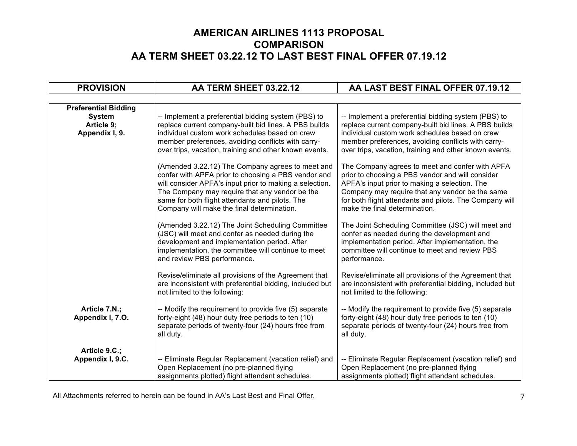| <b>PROVISION</b>                                                             | AA TERM SHEET 03.22.12                                                                                                                                                                                                                                                                                                | AA LAST BEST FINAL OFFER 07.19.12                                                                                                                                                                                                                                                                   |
|------------------------------------------------------------------------------|-----------------------------------------------------------------------------------------------------------------------------------------------------------------------------------------------------------------------------------------------------------------------------------------------------------------------|-----------------------------------------------------------------------------------------------------------------------------------------------------------------------------------------------------------------------------------------------------------------------------------------------------|
|                                                                              |                                                                                                                                                                                                                                                                                                                       |                                                                                                                                                                                                                                                                                                     |
| <b>Preferential Bidding</b><br><b>System</b><br>Article 9;<br>Appendix I, 9. | -- Implement a preferential bidding system (PBS) to<br>replace current company-built bid lines. A PBS builds<br>individual custom work schedules based on crew<br>member preferences, avoiding conflicts with carry-<br>over trips, vacation, training and other known events.                                        | -- Implement a preferential bidding system (PBS) to<br>replace current company-built bid lines. A PBS builds<br>individual custom work schedules based on crew<br>member preferences, avoiding conflicts with carry-<br>over trips, vacation, training and other known events.                      |
|                                                                              | (Amended 3.22.12) The Company agrees to meet and<br>confer with APFA prior to choosing a PBS vendor and<br>will consider APFA's input prior to making a selection.<br>The Company may require that any vendor be the<br>same for both flight attendants and pilots. The<br>Company will make the final determination. | The Company agrees to meet and confer with APFA<br>prior to choosing a PBS vendor and will consider<br>APFA's input prior to making a selection. The<br>Company may require that any vendor be the same<br>for both flight attendants and pilots. The Company will<br>make the final determination. |
|                                                                              | (Amended 3.22.12) The Joint Scheduling Committee<br>(JSC) will meet and confer as needed during the<br>development and implementation period. After<br>implementation, the committee will continue to meet<br>and review PBS performance.                                                                             | The Joint Scheduling Committee (JSC) will meet and<br>confer as needed during the development and<br>implementation period. After implementation, the<br>committee will continue to meet and review PBS<br>performance.                                                                             |
|                                                                              | Revise/eliminate all provisions of the Agreement that<br>are inconsistent with preferential bidding, included but<br>not limited to the following:                                                                                                                                                                    | Revise/eliminate all provisions of the Agreement that<br>are inconsistent with preferential bidding, included but<br>not limited to the following:                                                                                                                                                  |
| Article 7.N.;<br>Appendix I, 7.O.                                            | -- Modify the requirement to provide five (5) separate<br>forty-eight (48) hour duty free periods to ten (10)<br>separate periods of twenty-four (24) hours free from<br>all duty.                                                                                                                                    | -- Modify the requirement to provide five (5) separate<br>forty-eight (48) hour duty free periods to ten (10)<br>separate periods of twenty-four (24) hours free from<br>all duty.                                                                                                                  |
| Article 9.C.;<br>Appendix I, 9.C.                                            | -- Eliminate Regular Replacement (vacation relief) and<br>Open Replacement (no pre-planned flying<br>assignments plotted) flight attendant schedules.                                                                                                                                                                 | -- Eliminate Regular Replacement (vacation relief) and<br>Open Replacement (no pre-planned flying<br>assignments plotted) flight attendant schedules.                                                                                                                                               |

All Attachments referred to herein can be found in AA's Last Best and Final Offer. The match of the state of the match of the match of the match of the match of the match of the match of the match of the match of the match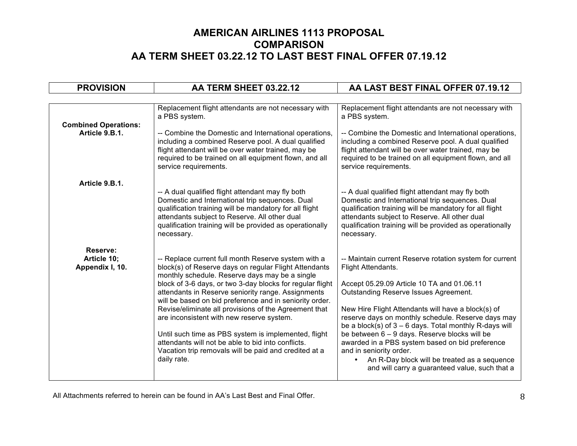| <b>PROVISION</b>                           | AA TERM SHEET 03.22.12                                                                                                                                                                                                                                                                                                                                                                                                                                                                                                                                                                                                                   | AA LAST BEST FINAL OFFER 07.19.12                                                                                                                                                                                                                                                                                                                                                                                                                                                                                                                                                          |  |
|--------------------------------------------|------------------------------------------------------------------------------------------------------------------------------------------------------------------------------------------------------------------------------------------------------------------------------------------------------------------------------------------------------------------------------------------------------------------------------------------------------------------------------------------------------------------------------------------------------------------------------------------------------------------------------------------|--------------------------------------------------------------------------------------------------------------------------------------------------------------------------------------------------------------------------------------------------------------------------------------------------------------------------------------------------------------------------------------------------------------------------------------------------------------------------------------------------------------------------------------------------------------------------------------------|--|
|                                            |                                                                                                                                                                                                                                                                                                                                                                                                                                                                                                                                                                                                                                          |                                                                                                                                                                                                                                                                                                                                                                                                                                                                                                                                                                                            |  |
| <b>Combined Operations:</b>                | Replacement flight attendants are not necessary with<br>a PBS system.                                                                                                                                                                                                                                                                                                                                                                                                                                                                                                                                                                    | Replacement flight attendants are not necessary with<br>a PBS system.                                                                                                                                                                                                                                                                                                                                                                                                                                                                                                                      |  |
| Article 9.B.1.                             | -- Combine the Domestic and International operations,<br>including a combined Reserve pool. A dual qualified<br>flight attendant will be over water trained, may be<br>required to be trained on all equipment flown, and all<br>service requirements.                                                                                                                                                                                                                                                                                                                                                                                   | -- Combine the Domestic and International operations,<br>including a combined Reserve pool. A dual qualified<br>flight attendant will be over water trained, may be<br>required to be trained on all equipment flown, and all<br>service requirements.                                                                                                                                                                                                                                                                                                                                     |  |
| Article 9.B.1.                             | -- A dual qualified flight attendant may fly both<br>Domestic and International trip sequences. Dual<br>qualification training will be mandatory for all flight<br>attendants subject to Reserve. All other dual<br>qualification training will be provided as operationally<br>necessary.                                                                                                                                                                                                                                                                                                                                               | -- A dual qualified flight attendant may fly both<br>Domestic and International trip sequences. Dual<br>qualification training will be mandatory for all flight<br>attendants subject to Reserve. All other dual<br>qualification training will be provided as operationally<br>necessary.                                                                                                                                                                                                                                                                                                 |  |
| Reserve:<br>Article 10;<br>Appendix I, 10. | -- Replace current full month Reserve system with a<br>block(s) of Reserve days on regular Flight Attendants<br>monthly schedule. Reserve days may be a single<br>block of 3-6 days, or two 3-day blocks for regular flight<br>attendants in Reserve seniority range. Assignments<br>will be based on bid preference and in seniority order.<br>Revise/eliminate all provisions of the Agreement that<br>are inconsistent with new reserve system.<br>Until such time as PBS system is implemented, flight<br>attendants will not be able to bid into conflicts.<br>Vacation trip removals will be paid and credited at a<br>daily rate. | -- Maintain current Reserve rotation system for current<br>Flight Attendants.<br>Accept 05.29.09 Article 10 TA and 01.06.11<br>Outstanding Reserve Issues Agreement.<br>New Hire Flight Attendants will have a block(s) of<br>reserve days on monthly schedule. Reserve days may<br>be a block(s) of $3 - 6$ days. Total monthly R-days will<br>be between 6 - 9 days. Reserve blocks will be<br>awarded in a PBS system based on bid preference<br>and in seniority order.<br>An R-Day block will be treated as a sequence<br>$\bullet$<br>and will carry a guaranteed value, such that a |  |

All Attachments referred to herein can be found in AA's Last Best and Final Offer. 8 (8) All Attachments referred to herein can be found in AA's Last Best and Final Offer.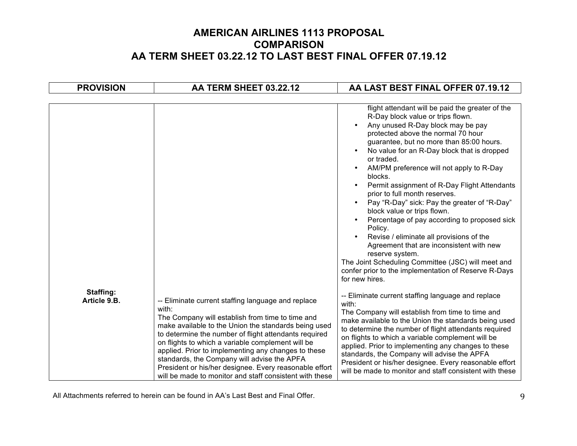| <b>PROVISION</b>          | AA TERM SHEET 03.22.12                                                                                                                                                                                                                                                                                                                                                                                                                                     | AA LAST BEST FINAL OFFER 07.19.12                                                                                                                                                                                                                                                                                                                                                                                                                                                                                                                                                                                                                                                                                                                                                                                                                                                               |  |  |
|---------------------------|------------------------------------------------------------------------------------------------------------------------------------------------------------------------------------------------------------------------------------------------------------------------------------------------------------------------------------------------------------------------------------------------------------------------------------------------------------|-------------------------------------------------------------------------------------------------------------------------------------------------------------------------------------------------------------------------------------------------------------------------------------------------------------------------------------------------------------------------------------------------------------------------------------------------------------------------------------------------------------------------------------------------------------------------------------------------------------------------------------------------------------------------------------------------------------------------------------------------------------------------------------------------------------------------------------------------------------------------------------------------|--|--|
| Staffing:<br>Article 9.B. | -- Eliminate current staffing language and replace                                                                                                                                                                                                                                                                                                                                                                                                         | flight attendant will be paid the greater of the<br>R-Day block value or trips flown.<br>Any unused R-Day block may be pay<br>protected above the normal 70 hour<br>guarantee, but no more than 85:00 hours.<br>No value for an R-Day block that is dropped<br>$\bullet$<br>or traded.<br>AM/PM preference will not apply to R-Day<br>blocks.<br>Permit assignment of R-Day Flight Attendants<br>prior to full month reserves.<br>Pay "R-Day" sick: Pay the greater of "R-Day"<br>$\bullet$<br>block value or trips flown.<br>Percentage of pay according to proposed sick<br>Policy.<br>Revise / eliminate all provisions of the<br>Agreement that are inconsistent with new<br>reserve system.<br>The Joint Scheduling Committee (JSC) will meet and<br>confer prior to the implementation of Reserve R-Days<br>for new hires.<br>-- Eliminate current staffing language and replace<br>with: |  |  |
|                           | with:<br>The Company will establish from time to time and<br>make available to the Union the standards being used<br>to determine the number of flight attendants required<br>on flights to which a variable complement will be<br>applied. Prior to implementing any changes to these<br>standards, the Company will advise the APFA<br>President or his/her designee. Every reasonable effort<br>will be made to monitor and staff consistent with these | The Company will establish from time to time and<br>make available to the Union the standards being used<br>to determine the number of flight attendants required<br>on flights to which a variable complement will be<br>applied. Prior to implementing any changes to these<br>standards, the Company will advise the APFA<br>President or his/her designee. Every reasonable effort<br>will be made to monitor and staff consistent with these                                                                                                                                                                                                                                                                                                                                                                                                                                               |  |  |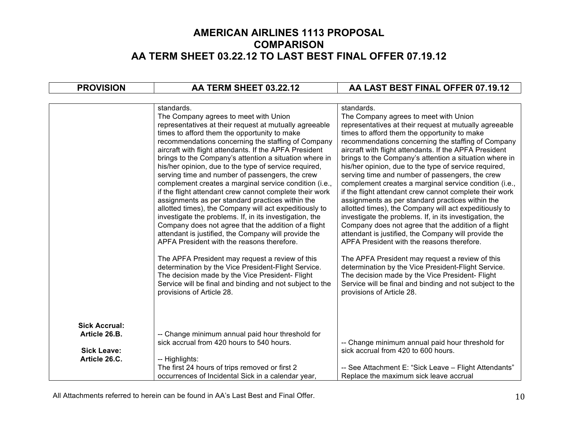| <b>PROVISION</b>                                                             | AA TERM SHEET 03.22.12                                                                                                                                                                                                                                                                                                                                                                                                                                                                                                                                                                                                                                                                                                                                                                                                                                                                                                                                                                                                                                                                                                                                                | AA LAST BEST FINAL OFFER 07.19.12                                                                                                                                                                                                                                                                                                                                                                                                                                                                                                                                                                                                                                                                                                                                                                                                                                                                                                                                                                                                                                                                                                                                     |
|------------------------------------------------------------------------------|-----------------------------------------------------------------------------------------------------------------------------------------------------------------------------------------------------------------------------------------------------------------------------------------------------------------------------------------------------------------------------------------------------------------------------------------------------------------------------------------------------------------------------------------------------------------------------------------------------------------------------------------------------------------------------------------------------------------------------------------------------------------------------------------------------------------------------------------------------------------------------------------------------------------------------------------------------------------------------------------------------------------------------------------------------------------------------------------------------------------------------------------------------------------------|-----------------------------------------------------------------------------------------------------------------------------------------------------------------------------------------------------------------------------------------------------------------------------------------------------------------------------------------------------------------------------------------------------------------------------------------------------------------------------------------------------------------------------------------------------------------------------------------------------------------------------------------------------------------------------------------------------------------------------------------------------------------------------------------------------------------------------------------------------------------------------------------------------------------------------------------------------------------------------------------------------------------------------------------------------------------------------------------------------------------------------------------------------------------------|
|                                                                              |                                                                                                                                                                                                                                                                                                                                                                                                                                                                                                                                                                                                                                                                                                                                                                                                                                                                                                                                                                                                                                                                                                                                                                       |                                                                                                                                                                                                                                                                                                                                                                                                                                                                                                                                                                                                                                                                                                                                                                                                                                                                                                                                                                                                                                                                                                                                                                       |
|                                                                              | standards.<br>The Company agrees to meet with Union<br>representatives at their request at mutually agreeable<br>times to afford them the opportunity to make<br>recommendations concerning the staffing of Company<br>aircraft with flight attendants. If the APFA President<br>brings to the Company's attention a situation where in<br>his/her opinion, due to the type of service required,<br>serving time and number of passengers, the crew<br>complement creates a marginal service condition (i.e.,<br>if the flight attendant crew cannot complete their work<br>assignments as per standard practices within the<br>allotted times), the Company will act expeditiously to<br>investigate the problems. If, in its investigation, the<br>Company does not agree that the addition of a flight<br>attendant is justified, the Company will provide the<br>APFA President with the reasons therefore.<br>The APFA President may request a review of this<br>determination by the Vice President-Flight Service.<br>The decision made by the Vice President- Flight<br>Service will be final and binding and not subject to the<br>provisions of Article 28. | standards.<br>The Company agrees to meet with Union<br>representatives at their request at mutually agreeable<br>times to afford them the opportunity to make<br>recommendations concerning the staffing of Company<br>aircraft with flight attendants. If the APFA President<br>brings to the Company's attention a situation where in<br>his/her opinion, due to the type of service required,<br>serving time and number of passengers, the crew<br>complement creates a marginal service condition (i.e.,<br>if the flight attendant crew cannot complete their work<br>assignments as per standard practices within the<br>allotted times), the Company will act expeditiously to<br>investigate the problems. If, in its investigation, the<br>Company does not agree that the addition of a flight<br>attendant is justified, the Company will provide the<br>APFA President with the reasons therefore.<br>The APFA President may request a review of this<br>determination by the Vice President-Flight Service.<br>The decision made by the Vice President- Flight<br>Service will be final and binding and not subject to the<br>provisions of Article 28. |
| <b>Sick Accrual:</b><br>Article 26.B.<br><b>Sick Leave:</b><br>Article 26.C. | -- Change minimum annual paid hour threshold for<br>sick accrual from 420 hours to 540 hours.<br>-- Highlights:                                                                                                                                                                                                                                                                                                                                                                                                                                                                                                                                                                                                                                                                                                                                                                                                                                                                                                                                                                                                                                                       | -- Change minimum annual paid hour threshold for<br>sick accrual from 420 to 600 hours.                                                                                                                                                                                                                                                                                                                                                                                                                                                                                                                                                                                                                                                                                                                                                                                                                                                                                                                                                                                                                                                                               |
|                                                                              | The first 24 hours of trips removed or first 2<br>occurrences of Incidental Sick in a calendar year,                                                                                                                                                                                                                                                                                                                                                                                                                                                                                                                                                                                                                                                                                                                                                                                                                                                                                                                                                                                                                                                                  | -- See Attachment E: "Sick Leave - Flight Attendants"<br>Replace the maximum sick leave accrual                                                                                                                                                                                                                                                                                                                                                                                                                                                                                                                                                                                                                                                                                                                                                                                                                                                                                                                                                                                                                                                                       |

All Attachments referred to herein can be found in AA's Last Best and Final Offer. 40 and 70 and 70 and 70 and 70 and 70 and 70 and 70 and 70 and 70 and 70 and 70 and 70 and 70 and 70 and 70 and 70 and 70 and 70 and 70 and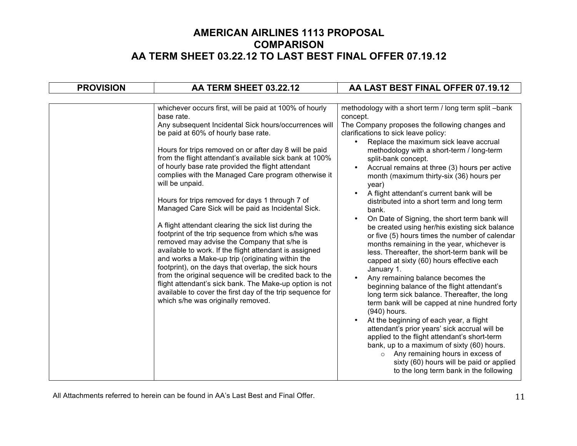| <b>PROVISION</b> | AA TERM SHEET 03.22.12                                                                                                                                                                                                                                                                                                                                                                                                                                                                                                                                                                                                                                                                                                                                                                                                                                                                                                                                                                                                                                                                        | AA LAST BEST FINAL OFFER 07.19.12                                                                                                                                                                                                                                                                                                                                                                                                                                                                                                                                                                                                                                                                                                                                                                                                                                                                                                                                                                                                                                                                                                                                                                                                                                                                                                                        |
|------------------|-----------------------------------------------------------------------------------------------------------------------------------------------------------------------------------------------------------------------------------------------------------------------------------------------------------------------------------------------------------------------------------------------------------------------------------------------------------------------------------------------------------------------------------------------------------------------------------------------------------------------------------------------------------------------------------------------------------------------------------------------------------------------------------------------------------------------------------------------------------------------------------------------------------------------------------------------------------------------------------------------------------------------------------------------------------------------------------------------|----------------------------------------------------------------------------------------------------------------------------------------------------------------------------------------------------------------------------------------------------------------------------------------------------------------------------------------------------------------------------------------------------------------------------------------------------------------------------------------------------------------------------------------------------------------------------------------------------------------------------------------------------------------------------------------------------------------------------------------------------------------------------------------------------------------------------------------------------------------------------------------------------------------------------------------------------------------------------------------------------------------------------------------------------------------------------------------------------------------------------------------------------------------------------------------------------------------------------------------------------------------------------------------------------------------------------------------------------------|
|                  | whichever occurs first, will be paid at 100% of hourly<br>base rate.<br>Any subsequent Incidental Sick hours/occurrences will<br>be paid at 60% of hourly base rate.<br>Hours for trips removed on or after day 8 will be paid<br>from the flight attendant's available sick bank at 100%<br>of hourly base rate provided the flight attendant<br>complies with the Managed Care program otherwise it<br>will be unpaid.<br>Hours for trips removed for days 1 through 7 of<br>Managed Care Sick will be paid as Incidental Sick.<br>A flight attendant clearing the sick list during the<br>footprint of the trip sequence from which s/he was<br>removed may advise the Company that s/he is<br>available to work. If the flight attendant is assigned<br>and works a Make-up trip (originating within the<br>footprint), on the days that overlap, the sick hours<br>from the original sequence will be credited back to the<br>flight attendant's sick bank. The Make-up option is not<br>available to cover the first day of the trip sequence for<br>which s/he was originally removed. | methodology with a short term / long term split -bank<br>concept.<br>The Company proposes the following changes and<br>clarifications to sick leave policy:<br>Replace the maximum sick leave accrual<br>methodology with a short-term / long-term<br>split-bank concept.<br>Accrual remains at three (3) hours per active<br>$\bullet$<br>month (maximum thirty-six (36) hours per<br>year)<br>A flight attendant's current bank will be<br>distributed into a short term and long term<br>bank.<br>On Date of Signing, the short term bank will<br>$\bullet$<br>be created using her/his existing sick balance<br>or five (5) hours times the number of calendar<br>months remaining in the year, whichever is<br>less. Thereafter, the short-term bank will be<br>capped at sixty (60) hours effective each<br>January 1.<br>Any remaining balance becomes the<br>beginning balance of the flight attendant's<br>long term sick balance. Thereafter, the long<br>term bank will be capped at nine hundred forty<br>(940) hours.<br>At the beginning of each year, a flight<br>attendant's prior years' sick accrual will be<br>applied to the flight attendant's short-term<br>bank, up to a maximum of sixty (60) hours.<br>o Any remaining hours in excess of<br>sixty (60) hours will be paid or applied<br>to the long term bank in the following |
|                  |                                                                                                                                                                                                                                                                                                                                                                                                                                                                                                                                                                                                                                                                                                                                                                                                                                                                                                                                                                                                                                                                                               |                                                                                                                                                                                                                                                                                                                                                                                                                                                                                                                                                                                                                                                                                                                                                                                                                                                                                                                                                                                                                                                                                                                                                                                                                                                                                                                                                          |

All Attachments referred to herein can be found in AA's Last Best and Final Offer. 11 Attachments referred to herein can be found in AA's Last Best and Final Offer.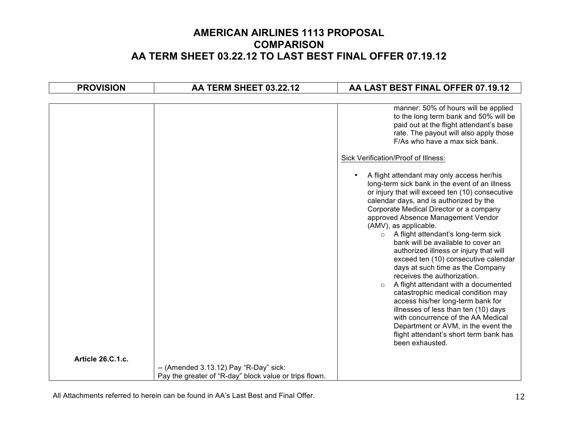| <b>PROVISION</b>  | AA TERM SHEET 03.22.12                                 | AA LAST BEST FINAL OFFER 07.19.12                                                                                                                                                                                                                                                                                                                                                                                                                                                                                                                                                                                                                                                                  |
|-------------------|--------------------------------------------------------|----------------------------------------------------------------------------------------------------------------------------------------------------------------------------------------------------------------------------------------------------------------------------------------------------------------------------------------------------------------------------------------------------------------------------------------------------------------------------------------------------------------------------------------------------------------------------------------------------------------------------------------------------------------------------------------------------|
|                   |                                                        |                                                                                                                                                                                                                                                                                                                                                                                                                                                                                                                                                                                                                                                                                                    |
|                   |                                                        | manner: 50% of hours will be applied<br>to the long term bank and 50% will be<br>paid out at the flight attendant's base<br>rate. The payout will also apply those<br>F/As who have a max sick bank.<br>Sick Verification/Proof of Illness:<br>A flight attendant may only access her/his<br>$\bullet$<br>long-term sick bank in the event of an illness<br>or injury that will exceed ten (10) consecutive<br>calendar days, and is authorized by the<br>Corporate Medical Director or a company<br>approved Absence Management Vendor<br>(AMV), as applicable.<br>A flight attendant's long-term sick<br>$\circ$<br>bank will be available to cover an<br>authorized illness or injury that will |
|                   |                                                        | exceed ten (10) consecutive calendar<br>days at such time as the Company<br>receives the authorization.<br>A flight attendant with a documented<br>$\circ$<br>catastrophic medical condition may<br>access his/her long-term bank for<br>illnesses of less than ten (10) days<br>with concurrence of the AA Medical<br>Department or AVM, in the event the<br>flight attendant's short term bank has<br>been exhausted.                                                                                                                                                                                                                                                                            |
| Article 26.C.1.c. | -- (Amended 3.13.12) Pay "R-Day" sick:                 |                                                                                                                                                                                                                                                                                                                                                                                                                                                                                                                                                                                                                                                                                                    |
|                   | Pay the greater of "R-day" block value or trips flown. |                                                                                                                                                                                                                                                                                                                                                                                                                                                                                                                                                                                                                                                                                                    |

All Attachments referred to herein can be found in AA's Last Best and Final Offer. 12 manufacturers are not all the state of the state of the state of the state of the state of the state of the state of the state of the st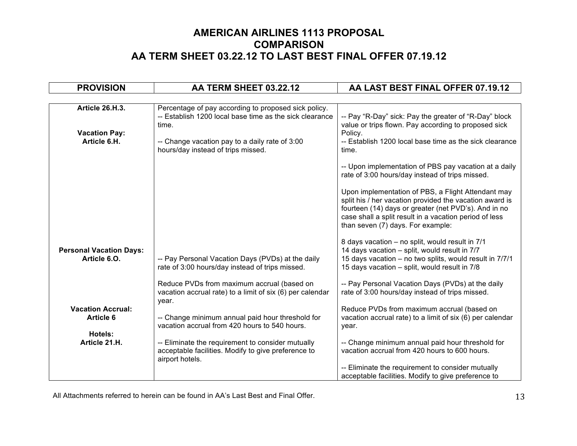| <b>PROVISION</b>                                        | AA TERM SHEET 03.22.12                                                                                                                                                     | AA LAST BEST FINAL OFFER 07.19.12                                                                                                                                                                                                                                    |
|---------------------------------------------------------|----------------------------------------------------------------------------------------------------------------------------------------------------------------------------|----------------------------------------------------------------------------------------------------------------------------------------------------------------------------------------------------------------------------------------------------------------------|
|                                                         |                                                                                                                                                                            |                                                                                                                                                                                                                                                                      |
| Article 26.H.3.<br><b>Vacation Pay:</b><br>Article 6.H. | Percentage of pay according to proposed sick policy.<br>-- Establish 1200 local base time as the sick clearance<br>time.<br>-- Change vacation pay to a daily rate of 3:00 | -- Pay "R-Day" sick: Pay the greater of "R-Day" block<br>value or trips flown. Pay according to proposed sick<br>Policy.<br>-- Establish 1200 local base time as the sick clearance                                                                                  |
|                                                         | hours/day instead of trips missed.                                                                                                                                         | time.<br>-- Upon implementation of PBS pay vacation at a daily<br>rate of 3:00 hours/day instead of trips missed.                                                                                                                                                    |
|                                                         |                                                                                                                                                                            | Upon implementation of PBS, a Flight Attendant may<br>split his / her vacation provided the vacation award is<br>fourteen (14) days or greater (net PVD's). And in no<br>case shall a split result in a vacation period of less<br>than seven (7) days. For example: |
| <b>Personal Vacation Days:</b><br>Article 6.O.          | -- Pay Personal Vacation Days (PVDs) at the daily<br>rate of 3:00 hours/day instead of trips missed.                                                                       | 8 days vacation - no split, would result in 7/1<br>14 days vacation - split, would result in 7/7<br>15 days vacation - no two splits, would result in 7/7/1<br>15 days vacation - split, would result in 7/8                                                         |
|                                                         | Reduce PVDs from maximum accrual (based on<br>vacation accrual rate) to a limit of six (6) per calendar<br>year.                                                           | -- Pay Personal Vacation Days (PVDs) at the daily<br>rate of 3:00 hours/day instead of trips missed.                                                                                                                                                                 |
| <b>Vacation Accrual:</b><br><b>Article 6</b>            | -- Change minimum annual paid hour threshold for<br>vacation accrual from 420 hours to 540 hours.                                                                          | Reduce PVDs from maximum accrual (based on<br>vacation accrual rate) to a limit of six (6) per calendar<br>year.                                                                                                                                                     |
| Hotels:<br>Article 21.H.                                | -- Eliminate the requirement to consider mutually<br>acceptable facilities. Modify to give preference to<br>airport hotels.                                                | -- Change minimum annual paid hour threshold for<br>vacation accrual from 420 hours to 600 hours.                                                                                                                                                                    |
|                                                         |                                                                                                                                                                            | -- Eliminate the requirement to consider mutually<br>acceptable facilities. Modify to give preference to                                                                                                                                                             |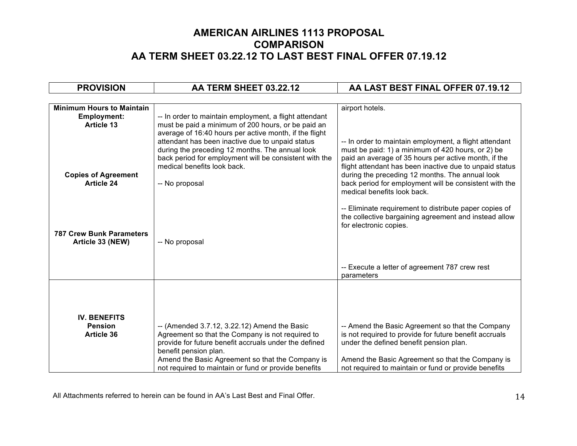| <b>PROVISION</b>                                    | AA TERM SHEET 03.22.12                                                                                                                                                                                                                                                                                       | AA LAST BEST FINAL OFFER 07.19.12                                                                                                                                                                                              |
|-----------------------------------------------------|--------------------------------------------------------------------------------------------------------------------------------------------------------------------------------------------------------------------------------------------------------------------------------------------------------------|--------------------------------------------------------------------------------------------------------------------------------------------------------------------------------------------------------------------------------|
|                                                     |                                                                                                                                                                                                                                                                                                              |                                                                                                                                                                                                                                |
| <b>Minimum Hours to Maintain</b>                    |                                                                                                                                                                                                                                                                                                              | airport hotels.                                                                                                                                                                                                                |
| <b>Employment:</b>                                  | -- In order to maintain employment, a flight attendant                                                                                                                                                                                                                                                       |                                                                                                                                                                                                                                |
| Article 13                                          | must be paid a minimum of 200 hours, or be paid an<br>average of 16:40 hours per active month, if the flight<br>attendant has been inactive due to unpaid status<br>during the preceding 12 months. The annual look<br>back period for employment will be consistent with the<br>medical benefits look back. | -- In order to maintain employment, a flight attendant<br>must be paid: 1) a minimum of 420 hours, or 2) be<br>paid an average of 35 hours per active month, if the<br>flight attendant has been inactive due to unpaid status |
| <b>Copies of Agreement</b><br><b>Article 24</b>     | -- No proposal                                                                                                                                                                                                                                                                                               | during the preceding 12 months. The annual look<br>back period for employment will be consistent with the<br>medical benefits look back.                                                                                       |
| <b>787 Crew Bunk Parameters</b><br>Article 33 (NEW) | -- No proposal                                                                                                                                                                                                                                                                                               | -- Eliminate requirement to distribute paper copies of<br>the collective bargaining agreement and instead allow<br>for electronic copies.                                                                                      |
|                                                     |                                                                                                                                                                                                                                                                                                              | -- Execute a letter of agreement 787 crew rest<br>parameters                                                                                                                                                                   |
| <b>IV. BENEFITS</b>                                 |                                                                                                                                                                                                                                                                                                              |                                                                                                                                                                                                                                |
| <b>Pension</b>                                      | -- (Amended 3.7.12, 3.22.12) Amend the Basic                                                                                                                                                                                                                                                                 | -- Amend the Basic Agreement so that the Company                                                                                                                                                                               |
| <b>Article 36</b>                                   | Agreement so that the Company is not required to<br>provide for future benefit accruals under the defined<br>benefit pension plan.                                                                                                                                                                           | is not required to provide for future benefit accruals<br>under the defined benefit pension plan.                                                                                                                              |
|                                                     | Amend the Basic Agreement so that the Company is<br>not required to maintain or fund or provide benefits                                                                                                                                                                                                     | Amend the Basic Agreement so that the Company is<br>not required to maintain or fund or provide benefits                                                                                                                       |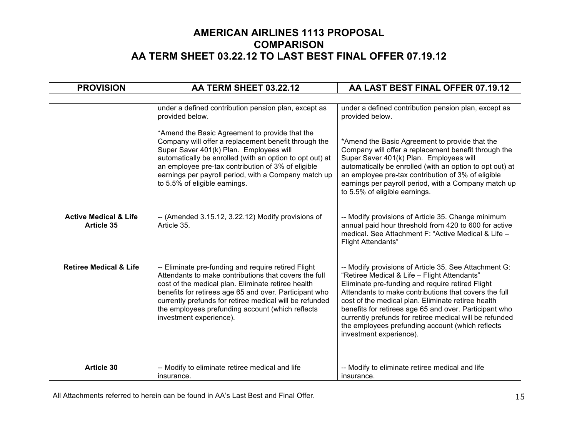| <b>PROVISION</b>                                      | AA TERM SHEET 03.22.12                                                                                                                                                                                                                                                                                                                                                 | AA LAST BEST FINAL OFFER 07.19.12                                                                                                                                                                                                                                                                                                                                                                                                                                            |
|-------------------------------------------------------|------------------------------------------------------------------------------------------------------------------------------------------------------------------------------------------------------------------------------------------------------------------------------------------------------------------------------------------------------------------------|------------------------------------------------------------------------------------------------------------------------------------------------------------------------------------------------------------------------------------------------------------------------------------------------------------------------------------------------------------------------------------------------------------------------------------------------------------------------------|
|                                                       |                                                                                                                                                                                                                                                                                                                                                                        |                                                                                                                                                                                                                                                                                                                                                                                                                                                                              |
|                                                       | under a defined contribution pension plan, except as<br>provided below.                                                                                                                                                                                                                                                                                                | under a defined contribution pension plan, except as<br>provided below.                                                                                                                                                                                                                                                                                                                                                                                                      |
|                                                       | *Amend the Basic Agreement to provide that the<br>Company will offer a replacement benefit through the<br>Super Saver 401(k) Plan. Employees will<br>automatically be enrolled (with an option to opt out) at<br>an employee pre-tax contribution of 3% of eligible<br>earnings per payroll period, with a Company match up<br>to 5.5% of eligible earnings.           | *Amend the Basic Agreement to provide that the<br>Company will offer a replacement benefit through the<br>Super Saver 401(k) Plan. Employees will<br>automatically be enrolled (with an option to opt out) at<br>an employee pre-tax contribution of 3% of eligible<br>earnings per payroll period, with a Company match up<br>to 5.5% of eligible earnings.                                                                                                                 |
| <b>Active Medical &amp; Life</b><br><b>Article 35</b> | $-$ (Amended 3.15.12, 3.22.12) Modify provisions of<br>Article 35.                                                                                                                                                                                                                                                                                                     | -- Modify provisions of Article 35. Change minimum<br>annual paid hour threshold from 420 to 600 for active<br>medical. See Attachment F: "Active Medical & Life -<br><b>Flight Attendants"</b>                                                                                                                                                                                                                                                                              |
| <b>Retiree Medical &amp; Life</b>                     | -- Eliminate pre-funding and require retired Flight<br>Attendants to make contributions that covers the full<br>cost of the medical plan. Eliminate retiree health<br>benefits for retirees age 65 and over. Participant who<br>currently prefunds for retiree medical will be refunded<br>the employees prefunding account (which reflects<br>investment experience). | -- Modify provisions of Article 35. See Attachment G:<br>"Retiree Medical & Life - Flight Attendants"<br>Eliminate pre-funding and require retired Flight<br>Attendants to make contributions that covers the full<br>cost of the medical plan. Eliminate retiree health<br>benefits for retirees age 65 and over. Participant who<br>currently prefunds for retiree medical will be refunded<br>the employees prefunding account (which reflects<br>investment experience). |
| <b>Article 30</b>                                     | -- Modify to eliminate retiree medical and life<br>insurance.                                                                                                                                                                                                                                                                                                          | -- Modify to eliminate retiree medical and life<br>insurance.                                                                                                                                                                                                                                                                                                                                                                                                                |

All Attachments referred to herein can be found in AA's Last Best and Final Offer. 15 and 75 and 75 and 75 and 75